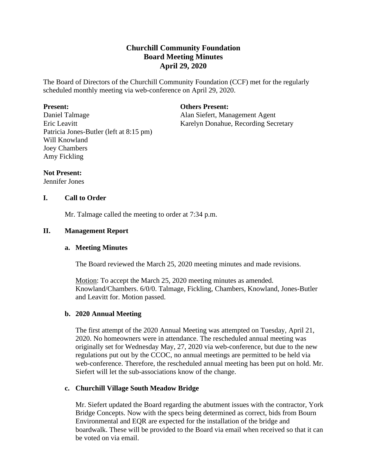# **Churchill Community Foundation Board Meeting Minutes April 29, 2020**

The Board of Directors of the Churchill Community Foundation (CCF) met for the regularly scheduled monthly meeting via web-conference on April 29, 2020.

#### **Present:**

Daniel Talmage Eric Leavitt Patricia Jones-Butler (left at 8:15 pm) Will Knowland Joey Chambers Amy Fickling

**Others Present:**

Alan Siefert, Management Agent Karelyn Donahue, Recording Secretary

#### **Not Present:**

Jennifer Jones

# **I. Call to Order**

Mr. Talmage called the meeting to order at 7:34 p.m.

# **II. Management Report**

#### **a. Meeting Minutes**

The Board reviewed the March 25, 2020 meeting minutes and made revisions.

Motion: To accept the March 25, 2020 meeting minutes as amended. Knowland/Chambers. 6/0/0. Talmage, Fickling, Chambers, Knowland, Jones-Butler and Leavitt for. Motion passed.

#### **b. 2020 Annual Meeting**

The first attempt of the 2020 Annual Meeting was attempted on Tuesday, April 21, 2020. No homeowners were in attendance. The rescheduled annual meeting was originally set for Wednesday May, 27, 2020 via web-conference, but due to the new regulations put out by the CCOC, no annual meetings are permitted to be held via web-conference. Therefore, the rescheduled annual meeting has been put on hold. Mr. Siefert will let the sub-associations know of the change.

# **c. Churchill Village South Meadow Bridge**

Mr. Siefert updated the Board regarding the abutment issues with the contractor, York Bridge Concepts. Now with the specs being determined as correct, bids from Bourn Environmental and EQR are expected for the installation of the bridge and boardwalk. These will be provided to the Board via email when received so that it can be voted on via email.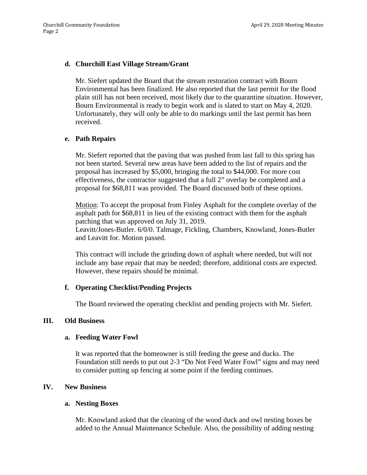# **d. Churchill East Village Stream/Grant**

Mr. Siefert updated the Board that the stream restoration contract with Bourn Environmental has been finalized. He also reported that the last permit for the flood plain still has not been received, most likely due to the quarantine situation. However, Bourn Environmental is ready to begin work and is slated to start on May 4, 2020. Unfortunately, they will only be able to do markings until the last permit has been received.

# **e. Path Repairs**

Mr. Siefert reported that the paving that was pushed from last fall to this spring has not been started. Several new areas have been added to the list of repairs and the proposal has increased by \$5,000, bringing the total to \$44,000. For more cost effectiveness, the contractor suggested that a full 2" overlay be completed and a proposal for \$68,811 was provided. The Board discussed both of these options.

Motion: To accept the proposal from Finley Asphalt for the complete overlay of the asphalt path for \$68,811 in lieu of the existing contract with them for the asphalt patching that was approved on July 31, 2019.

Leavitt/Jones-Butler. 6/0/0. Talmage, Fickling, Chambers, Knowland, Jones-Butler and Leavitt for. Motion passed.

This contract will include the grinding down of asphalt where needed, but will not include any base repair that may be needed; therefore, additional costs are expected. However, these repairs should be minimal.

#### **f. Operating Checklist/Pending Projects**

The Board reviewed the operating checklist and pending projects with Mr. Siefert.

## **III. Old Business**

#### **a. Feeding Water Fowl**

It was reported that the homeowner is still feeding the geese and ducks. The Foundation still needs to put out 2-3 "Do Not Feed Water Fowl" signs and may need to consider putting up fencing at some point if the feeding continues.

#### **IV. New Business**

#### **a. Nesting Boxes**

Mr. Knowland asked that the cleaning of the wood duck and owl nesting boxes be added to the Annual Maintenance Schedule. Also, the possibility of adding nesting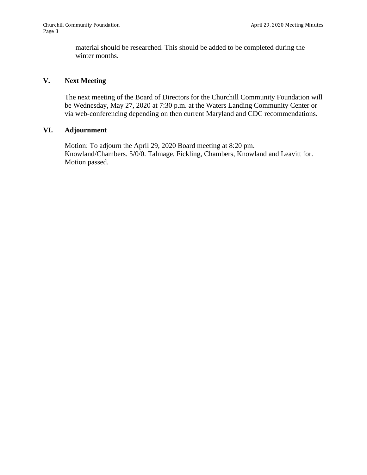material should be researched. This should be added to be completed during the winter months.

# **V. Next Meeting**

The next meeting of the Board of Directors for the Churchill Community Foundation will be Wednesday, May 27, 2020 at 7:30 p.m. at the Waters Landing Community Center or via web-conferencing depending on then current Maryland and CDC recommendations.

# **VI. Adjournment**

Motion: To adjourn the April 29, 2020 Board meeting at 8:20 pm. Knowland/Chambers. 5/0/0. Talmage, Fickling, Chambers, Knowland and Leavitt for. Motion passed.